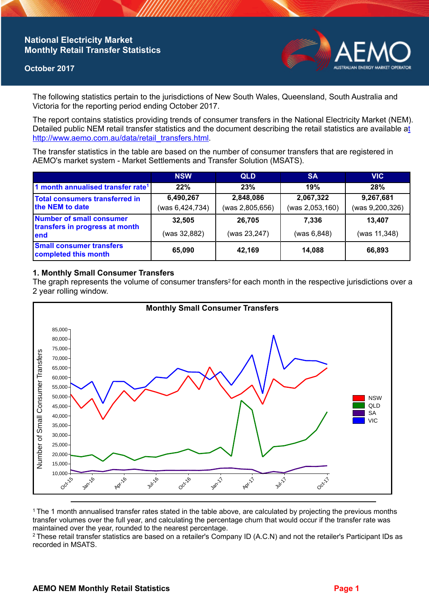## **National Electricity Market Monthly Retail Transfer Statistics**

### **October 2017**



The following statistics pertain to the jurisdictions of New South Wales, Queensland, South Australia and Victoria for the reporting period ending October 2017.

The report contains statistics providing trends of consumer transfers in the National Electricity Market (NEM). Detailed public NEM retail transfer statistics and the document describing the retail statistics are available a[t](http://www.aemo.com.au/data/retail_transfers.html)  http://www.aemo.com.au/data/retail\_transfers.html

The transfer statistics in the table are based on the number of consumer transfers that are registered in AEMO's market system - Market Settlements and Transfer Solution (MSATS).

|                                                                    | <b>NSW</b>      | <b>QLD</b>      | <b>SA</b>       | <b>VIC</b>      |
|--------------------------------------------------------------------|-----------------|-----------------|-----------------|-----------------|
| 1 month annualised transfer rate <sup>1</sup>                      | 22%             | 23%             | 19%             | 28%             |
| Total consumers transferred in<br>the NEM to date                  | 6,490,267       | 2,848,086       | 2,067,322       | 9,267,681       |
|                                                                    | (was 6,424,734) | (was 2,805,656) | (was 2,053,160) | (was 9,200,326) |
| Number of small consumer<br>transfers in progress at month<br>lend | 32,505          | 26,705          | 7.336           | 13.407          |
|                                                                    | (was 32,882)    | (was 23,247)    | (was 6, 848)    | (was 11,348)    |
| <b>Small consumer transfers</b><br>completed this month            | 65,090          | 42,169          | 14,088          | 66,893          |

### **1. Monthly Small Consumer Transfers**

The graph represents the volume of consumer transfers<sup>2</sup> for each month in the respective jurisdictions over a 2 year rolling window.



<sup>1</sup>The 1 month annualised transfer rates stated in the table above, are calculated by projecting the previous months transfer volumes over the full year, and calculating the percentage churn that would occur if the transfer rate was maintained over the year, rounded to the nearest percentage.

<sup>2</sup> These retail transfer statistics are based on a retailer's Company ID (A.C.N) and not the retailer's Participant IDs as recorded in MSATS.